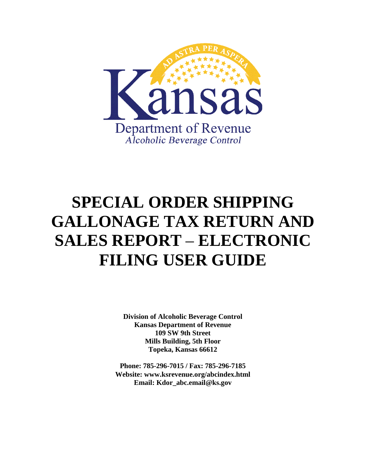

# **SPECIAL ORDER SHIPPING GALLONAGE TAX RETURN AND SALES REPORT** – **ELECTRONIC FILING USER GUIDE**

**Division of Alcoholic Beverage Control Kansas Department of Revenue 109 SW 9th Street Mills Building, 5th Floor Topeka, Kansas 66612** 

**Phone: 785-296-7015 / Fax: 785-296-7185 Website: [www.ksrevenue.](http://www.ksrevenue.org/abcindex.html)gov/abcindex.html Email: Kdor\_abc.email@ks.gov**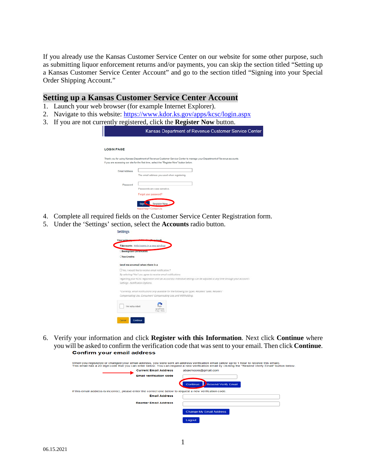If you already use the Kansas Customer Service Center on our website for some other purpose, such as submitting liquor enforcement returns and/or payments, you can skip the section titled "Setting up a Kansas Customer Service Center Account" and go to the section titled "Signing into your Special Order Shipping Account."

### **Setting up a Kansas Customer Service Center Account**

- 1. Launch your web browser (for example Internet Explorer).
- 2. Navigate to this website:<https://www.kdor.ks.gov/apps/kcsc/login.aspx>
- 3. If you are not currently registered, click the **Register Now** button.

|                      | Kansas Department of Revenue Customer Service Center                                                                                                                                                                 |
|----------------------|----------------------------------------------------------------------------------------------------------------------------------------------------------------------------------------------------------------------|
|                      |                                                                                                                                                                                                                      |
| <b>LOGIN PAGE</b>    |                                                                                                                                                                                                                      |
|                      | Thank you for using Kansas Department of Revenue Customer Service Center to manage your Department of Revenue accounts.<br>If you are accessing our site for the first time, select the "Register Now" button below. |
| <b>Fmail Address</b> | The email address you used when registering.                                                                                                                                                                         |
| Password             | Passwords are case sensitive.                                                                                                                                                                                        |
|                      | Forgot your password?<br>egister Now<br>Sign<br>Need Help? Contact Us.                                                                                                                                               |

- 4. Complete all required fields on the Customer Service Center Registration form.
- 5. Under the 'Settings' section, select the **Accounts** radio button.

| <b>EAccounts</b> Help (opens in a new window)       |                                                                                                                             |
|-----------------------------------------------------|-----------------------------------------------------------------------------------------------------------------------------|
| <b>Exemption Certificates</b>                       |                                                                                                                             |
| <b>Tax Credits</b>                                  |                                                                                                                             |
| Send me an email when there is a                    |                                                                                                                             |
| O Yes, I would like to receive email notification.* |                                                                                                                             |
|                                                     | By selecting "Yes" you agree to receive email notifications                                                                 |
|                                                     | regarding your KCSC registration and tax account(s). Individual settings can be adjusted at any time through your account's |
| Settings - Notification Options.                    |                                                                                                                             |
|                                                     | "Currently, email notifications only available for the following tax types: Retailers' Sales. Retailers'                    |
|                                                     | Compensating Use, Consumers' Compensating Use, and Withholding,                                                             |
|                                                     |                                                                                                                             |
| I'm not a robot                                     | WCARTCHA                                                                                                                    |
|                                                     | Privacy / Terms                                                                                                             |

6. Verify your information and click **Register with this Information**. Next click **Continue** where you will be asked to confirm the verification code that was sent to your email. Then click **Continue**.

| When you registered or changed your email address, you were sent an address verification email (allow up to 1 hour to receive this email). | This email has a 20 digit code that you can enter below. You can request a new verification email by clicking the "Resend Verify Email" button below. |
|--------------------------------------------------------------------------------------------------------------------------------------------|-------------------------------------------------------------------------------------------------------------------------------------------------------|
| <b>Current Email Address</b>                                                                                                               | abaxmoore@gmail.com                                                                                                                                   |
| <b>Email verification code</b>                                                                                                             |                                                                                                                                                       |
|                                                                                                                                            | <b>Resend Verify Email</b><br>Continue                                                                                                                |
| If this email address is incorrect, please enter the correct one below to request a new verification code.                                 |                                                                                                                                                       |
| <b>Email Address</b>                                                                                                                       |                                                                                                                                                       |
| <b>Reenter Email Address</b>                                                                                                               |                                                                                                                                                       |
|                                                                                                                                            | <b>Change My Email Address</b>                                                                                                                        |
|                                                                                                                                            | Logout                                                                                                                                                |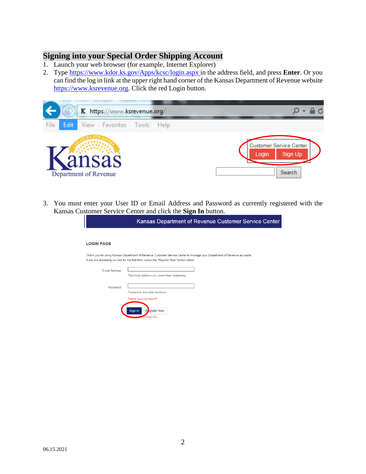### **Signing into your Special Order Shipping Account**

- 1. Launch your web browser (for example, Internet Explorer)
- 2. Type<https://www.kdor.ks.gov/Apps/kcsc/login.aspx>in the address field, and press **Enter**. Or you can find the log in link at the upper right hand corner of the Kansas Department of Revenue website [https://www.ksrevenue.](https://www.ksrevenue.org/)gov. Click the red Login button.



3. You must enter your User ID or Email Address and Password as currently registered with the Kansas Customer Service Center and click the **Sign In** button.

|                      | Kansas Department of Revenue Customer Service Center                                                                                                                                                                 |
|----------------------|----------------------------------------------------------------------------------------------------------------------------------------------------------------------------------------------------------------------|
| <b>LOGIN PAGE</b>    |                                                                                                                                                                                                                      |
|                      | Thank you for using Kansas Department of Revenue Customer Service Center to manage your Department of Revenue accounts.<br>If you are accessing our site for the first time, select the "Register Now" button below. |
| <b>Email Address</b> | The email address you used when registering.                                                                                                                                                                         |
| Password             | Passwords are case sensitive.                                                                                                                                                                                        |
|                      | Forgot your password?<br>Sign In<br>Register Now<br>ad Hole <sup>2</sup><br><b>Contact Us</b>                                                                                                                        |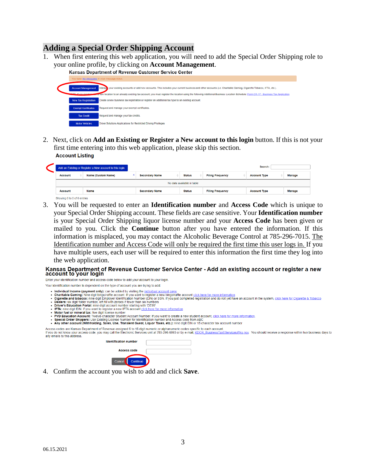### **Adding a Special Order Shipping Account**

1. When first entering this web application, you will need to add the Special Order Shipping role to your online profile, by clicking on **Account Management**.



2. Next, click on **Add an Existing or Register a New account to this login** button. If this is not your first time entering into this web application, please skip this section. **Account Listing** 

|                                                                                                                                                          |  | Add an Existing or Register a New account to this login. |  |                       |  |               |  |                         | Search:             |        |
|----------------------------------------------------------------------------------------------------------------------------------------------------------|--|----------------------------------------------------------|--|-----------------------|--|---------------|--|-------------------------|---------------------|--------|
| <b>Name (Custom Name)</b><br><b>Status</b><br><b>Filing Frequency</b><br><b>Manage</b><br><b>Secondary Name</b><br><b>Account Type</b><br><b>Account</b> |  |                                                          |  |                       |  |               |  |                         |                     |        |
| No data available in table                                                                                                                               |  |                                                          |  |                       |  |               |  |                         |                     |        |
| <b>Account</b>                                                                                                                                           |  | <b>Name</b>                                              |  | <b>Secondary Name</b> |  | <b>Status</b> |  | <b>Filing Frequency</b> | <b>Account Type</b> | Manage |
| Showing 0 to 0 of 0 entries                                                                                                                              |  |                                                          |  |                       |  |               |  |                         |                     |        |

3. You will be requested to enter an **Identification number** and **Access Code** which is unique to your Special Order Shipping account. These fields are case sensitive. Your **Identification number** is your Special Order Shipping liquor license number and your **Access Code** has been given or mailed to you. Click the **Continue** button after you have entered the information. If this information is misplaced, you may contact the Alcoholic Beverage Control at 785-296-7015. The Identification number and Access Code will only be required the first time this user logs in. If you have multiple users, each user will be required to enter this information the first time they log into the web application.

# Kansas Department of Revenue Customer Service Center - Add an existing account or register a new<br>account to your login

Enter your identification number and access code below to add your account to your login

- Your identification number is dependent on the type of account you are trying to add:
	- Individual Income (payment only): can be added by visiting the individual account page.
- Individual income (payment only): can be added by visiting the <u>individual account page</u><br>Charitable Gaming: Nine digit bingo/raffle account. If you want to register a new bingo/raffle account click here for more informatio
- 
- 
- 
- **ETA:** nine digit EIN. If you want to register a new IFTA account click here for more information<br>**Motor fuel of mineral tax:** five digit license number<br>**PVD Education Account:** Twe digit license number<br>**PVD Education Acco**  $\cdot$  PVD Eq
- 
- . Any other account (Withholding, Sales, Use, Transient Guest, Liquor Taxes, etc.): nine digit EIN or 15 character tax account number

Access codes are Kansas Department of Revenue-assigned 6 to 16 digit numeric or alphanumeric codes specific to each account. If you do not know your access code, you may call the Electronic Services unit at 785-296-6993 or by e-mail. KDOR Business TaxEServices@ks.gov. You should receive a response within two business days to any emails to this address.

| <b>Identification number</b> |          |  |
|------------------------------|----------|--|
| <b>Access code</b>           |          |  |
| Cancel                       | Continue |  |
|                              |          |  |

4. Confirm the account you wish to add and click **Save**.

 $\overline{\mathbf{C}}$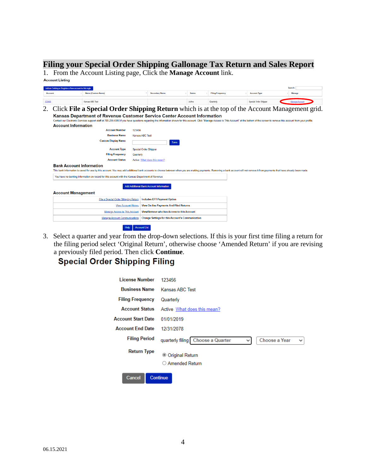### **Filing your Special Order Shipping Gallonage Tax Return and Sales Report**

1. From the Account Listing page, Click the **Manage Account** link.

| Add an Existing or Register a New account to this login |                                                                                                                                                                                                                                                                   |                                                |               |                         |                       | Search:        |
|---------------------------------------------------------|-------------------------------------------------------------------------------------------------------------------------------------------------------------------------------------------------------------------------------------------------------------------|------------------------------------------------|---------------|-------------------------|-----------------------|----------------|
| <b>Account</b>                                          | <b>Name (Custom Name)</b>                                                                                                                                                                                                                                         | <b>Secondary Name</b><br>٠                     | <b>Status</b> | <b>Filing Frequency</b> | <b>Account Type</b>   | Manage         |
|                                                         | Kanses ABC Test                                                                                                                                                                                                                                                   |                                                | Active        | Quarterly               | Special Order Shipper | Manage Account |
|                                                         | 2. Click File a Special Order Shipping Return which is at the top of the Account Management grid.                                                                                                                                                                 |                                                |               |                         |                       |                |
|                                                         | Kansas Department of Revenue Customer Service Center Account Information                                                                                                                                                                                          |                                                |               |                         |                       |                |
|                                                         | Contact our Electronic Services support staff at 785-296-6993 if you have questions regarding the information shown for this account. Click "Manage Access to This Account" at the bottom of the screen to remove this account                                    |                                                |               |                         |                       |                |
|                                                         | <b>Account Information</b>                                                                                                                                                                                                                                        |                                                |               |                         |                       |                |
|                                                         | <b>Account Number</b>                                                                                                                                                                                                                                             | 123456                                         |               |                         |                       |                |
|                                                         | <b>Business Name</b>                                                                                                                                                                                                                                              | <b>Kansas ABC Test</b>                         |               |                         |                       |                |
|                                                         | <b>Custom Display Name</b>                                                                                                                                                                                                                                        | Save                                           |               |                         |                       |                |
|                                                         | <b>Account Type</b>                                                                                                                                                                                                                                               | <b>Special Order Shipper</b>                   |               |                         |                       |                |
|                                                         | <b>Filing Frequency</b>                                                                                                                                                                                                                                           | Quarterly                                      |               |                         |                       |                |
|                                                         | <b>Account Status</b>                                                                                                                                                                                                                                             | Active What does this mean?                    |               |                         |                       |                |
|                                                         | <b>Bank Account Information</b><br>This bank information is saved for use by this account. You may add additional bank accounts to choose between when you are making payments. Removing a bank account will not remove it from payments that have already been m |                                                |               |                         |                       |                |
|                                                         | You have no banking information on record for this account with the Kansas Department of Revenue                                                                                                                                                                  |                                                |               |                         |                       |                |
|                                                         |                                                                                                                                                                                                                                                                   | <b>Add Additional Bank Account Information</b> |               |                         |                       |                |
| <b>Account Management</b>                               |                                                                                                                                                                                                                                                                   |                                                |               |                         |                       |                |
|                                                         | File a Special Order Shipping Return                                                                                                                                                                                                                              | <b>Includes EFT Payment Option</b>             |               |                         |                       |                |
|                                                         | <b>View Account History</b>                                                                                                                                                                                                                                       | <b>View On-line Payments And Filed Returns</b> |               |                         |                       |                |
|                                                         | <b>Manage Access to This Account</b>                                                                                                                                                                                                                              | View/Remove who has Access to this Account     |               |                         |                       |                |

3. Select a quarter and year from the drop-down selections. If this is your first time filing a return for the filing period select 'Original Return', otherwise choose 'Amended Return' if you are revising a previously filed period. Then click **Continue**.

## **Special Order Shipping Filing**

| <b>License Number</b>     | 123456                                                                                      |
|---------------------------|---------------------------------------------------------------------------------------------|
| <b>Business Name</b>      | Kansas ABC Test                                                                             |
| <b>Filing Frequency</b>   | Quarterly                                                                                   |
| <b>Account Status</b>     | Active What does this mean?                                                                 |
| <b>Account Start Date</b> | 01/01/2019                                                                                  |
| <b>Account End Date</b>   | 12/31/2078                                                                                  |
| <b>Filing Period</b>      | quarterly filing<br><b>Choose a Quarter</b><br>Choose a Year<br>$\checkmark$<br>$\check{ }$ |
| <b>Return Type</b>        | Original Return<br>$\circ$<br>○ Amended Return                                              |
| Cancel                    | <b>Continue</b>                                                                             |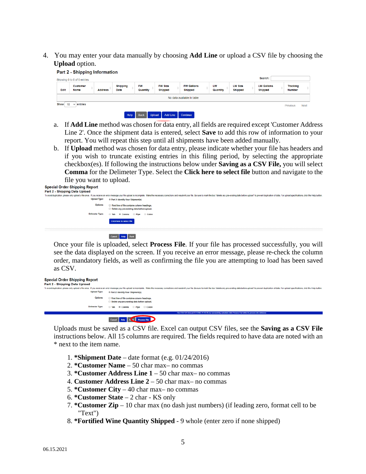4. You may enter your data manually by choosing **Add Line** or upload a CSV file by choosing the **Upload** option.



- a. If **Add Line** method was chosen for data entry, all fields are required except 'Customer Address Line 2'. Once the shipment data is entered, select **Save** to add this row of information to your report. You will repeat this step until all shipments have been added manually.
- b. If **Upload** method was chosen for data entry, please indicate whether your file has headers and if you wish to truncate existing entries in this filing period, by selecting the appropriate checkbox(es). If following the instructions below under **Saving as a CSV File,** you will select **Comma** for the Delimeter Type. Select the **Click here to select file** button and navigate to the file you want to upload.

| <b>Special Order Shipping Report</b> |                                                                                                                                                                                                                                                                      |
|--------------------------------------|----------------------------------------------------------------------------------------------------------------------------------------------------------------------------------------------------------------------------------------------------------------------|
| Part 2 - Shipping Data Upload        |                                                                                                                                                                                                                                                                      |
| <b>Upload Type:</b>                  | To avoid duplication, please only upload a file once. If you receive an error message your file upload is incomplete. Make the necessary corrections and resubmit your file. Be sure to mark the box "delete any pre-existing<br>® Part 2: Identify Your Shipment(s) |
|                                      |                                                                                                                                                                                                                                                                      |
| Options:                             | □ First line of file contains column headings.<br>Delete any pre-existing data before upload.                                                                                                                                                                        |
| <b>Delimeter Type:</b>               | ○ Tab <sup>®</sup> Comma ○ Pipe<br>Colon                                                                                                                                                                                                                             |
|                                      | Click here to select file                                                                                                                                                                                                                                            |
|                                      | Cancel Help Back                                                                                                                                                                                                                                                     |

Once your file is uploaded, select **Process File**. If your file has processed successfully, you will see the data displayed on the screen. If you receive an error message, please re-check the column order, mandatory fields, as well as confirming the file you are attempting to load has been saved as CSV.

| <b>Special Order Shipping Report</b><br>Part 2 - Shipping Data Upload |                                                                                                                                                                                                                               |
|-----------------------------------------------------------------------|-------------------------------------------------------------------------------------------------------------------------------------------------------------------------------------------------------------------------------|
|                                                                       | To avoid duplication, please only upload a file once. If you receive an error message your file upload is incomplete. Make the necessary corrections and resubmit your file. Be sure to mark the box "delete any pre-existing |
| <b>Upload Type:</b>                                                   | ® Part 2: Identify Your Shipment(s)                                                                                                                                                                                           |
|                                                                       | Options:<br>First line of file contains column headings.                                                                                                                                                                      |
|                                                                       | Delete any pre-existing data before upload.                                                                                                                                                                                   |
| <b>Delimeter Type:</b>                                                | $O$ Tab<br>® Comma<br>$O$ Pipe<br>C Colon                                                                                                                                                                                     |
|                                                                       | File CSV SOS Annual TESTING 11.10.20 cav successfully uploaded, click Process File button to process into database.                                                                                                           |

#### Cancel Help E-4 Process File

Uploads must be saved as a CSV file. Excel can output CSV files, see the **Saving as a CSV File** instructions below. All 15 columns are required. The fields required to have data are noted with an \* next to the item name.

- 1. **\*Shipment Date** date format (e.g. 01/24/2016)
- 2. **\*Customer Name** 50 char max– no commas
- 3. **\*Customer Address Line 1** 50 char max– no commas
- 4. **Customer Address Line 2**  50 char max– no commas
- 5. **\*Customer City** 40 char max– no commas
- 6. **\*Customer State** 2 char KS only
- 7. **\*Customer Zip** 10 char max (no dash just numbers) (if leading zero, format cell to be "Text")
- 8. **\*Fortified Wine Quantity Shipped** 9 whole (enter zero if none shipped)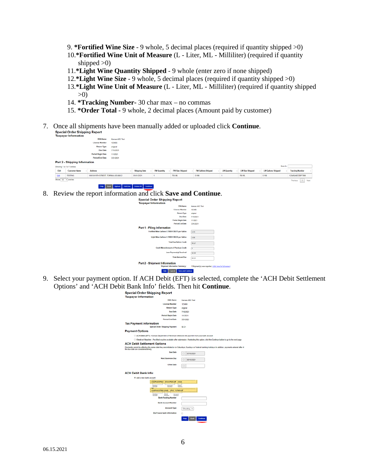- 9. **\*Fortified Wine Size** 9 whole, 5 decimal places (required if quantity shipped >0)
- 10.**\*Fortified Wine Unit of Measure** (L Liter, ML Milliliter) (required if quantity shipped  $>0$ )
- 11.**\*Light Wine Quantity Shipped**  9 whole (enter zero if none shipped)
- 12.**\*Light Wine Size**  9 whole, 5 decimal places (required if quantity shipped >0)
- 13.**\*Light Wine Unit of Measure** (L Liter, ML Milliliter) (required if quantity shipped >0)
- 14. **\*Tracking Number-** 30 char max no commas
- 15. **\*Order Total -** 9 whole, 2 decimal places (Amount paid by customer)
- 7. Once all shipments have been manually added or uploaded click **Continue**.

|                          | <b>INVESTIGATION</b>                 |                                     |                 |                      |                    |                        |                           |                   |                        |                          |                        |
|--------------------------|--------------------------------------|-------------------------------------|-----------------|----------------------|--------------------|------------------------|---------------------------|-------------------|------------------------|--------------------------|------------------------|
|                          |                                      | <b>DOA Name</b>                     | Kansas ABC Test |                      |                    |                        |                           |                   |                        |                          |                        |
|                          |                                      | <b>License Number</b>               | 123456          |                      |                    |                        |                           |                   |                        |                          |                        |
|                          |                                      | Return Type                         | original        |                      |                    |                        |                           |                   |                        |                          |                        |
|                          |                                      | <b>Due Date</b>                     | 7/15/2021       |                      |                    |                        |                           |                   |                        |                          |                        |
|                          |                                      | <b>Period Begin Date</b>            | 1/1/2021        |                      |                    |                        |                           |                   |                        |                          |                        |
|                          |                                      | Period End Date                     | 331/2021        |                      |                    |                        |                           |                   |                        |                          |                        |
|                          | <b>Part 2 - Shipping Information</b> |                                     |                 |                      |                    |                        |                           |                   |                        |                          |                        |
|                          | Showing 1 to 1 of 1 entries          |                                     |                 |                      |                    |                        |                           |                   |                        | Search:                  |                        |
| Edit                     | <b>Customer Name</b>                 | Address                             |                 | <b>Shipping Date</b> | <b>FW Quantity</b> | <b>FW Size Shipped</b> | <b>FW Gallons Shipped</b> | <b>LW Quantky</b> | <b>LW Size Shipped</b> | <b>LWGallons Shipped</b> | <b>Tracking Number</b> |
| Edit                     | <b>TESTING</b>                       | 109 SW 9TH STREET, TOPEKA, KS 66612 |                 | 01/01/2021           |                    | 750 ML                 | 0.198                     |                   | 750 ML                 | 0.156                    | 123456ABCDEF7890       |
| Show $10 \times$ entries |                                      |                                     |                 |                      |                    |                        |                           |                   |                        |                          | Previous 1 Next        |

- 
- 8. Review the report information and click **Save and Continue**.

| DRA Name                                           | Kansas ABC Test |
|----------------------------------------------------|-----------------|
| <b>License Number</b>                              | 123458          |
| <b>Return Type</b>                                 | original        |
| Due Date                                           | 7/15/2021       |
| <b>Period Begin Date</b>                           | 1/1/2021        |
| <b>Period End Date</b>                             | 3/31/2021       |
| Part 1 - Filing Information                        |                 |
| Fortified Wine Gallons 0.1980) X \$0.75 per Gallon | 0.15            |
| Light Wine Gallons 0.15000 X \$0.30 per Gallon     | 0.06            |
| <b>Total Due Before Credit</b>                     | \$0.21          |
| Cordit Memo/Amount of Previous Credit              | ٠               |
| <b>Loss Paymential Roceived</b>                    | \$0.00          |
| <b>Total Amount Due</b>                            | \$0.21          |
| Part 2 - Shipment Information                      |                 |

9. Select your payment option. If ACH Debit (EFT) is selected, complete the 'ACH Debit Settlement Options' and 'ACH Debit Bank Info' fields. Then hit **Continue**.

| Special Order Shipping Report<br><b>Taxpayer Information</b>                                  |                                                                                                                                                            |
|-----------------------------------------------------------------------------------------------|------------------------------------------------------------------------------------------------------------------------------------------------------------|
| <b>DBA Name</b>                                                                               | Kansas ABC Test                                                                                                                                            |
| <b>License Number</b>                                                                         | 123456                                                                                                                                                     |
| <b>Return Type</b>                                                                            | original                                                                                                                                                   |
| Due Date                                                                                      | 7/15/2021                                                                                                                                                  |
| <b>Period Begin Date</b>                                                                      | 1/1/2021                                                                                                                                                   |
| <b>Period End Date</b>                                                                        | 3/31/2021                                                                                                                                                  |
| <b>Tax Payment Information</b><br><b>Special Order Shipping Payment</b>                       | 50.21                                                                                                                                                      |
| <b>Payment Options</b>                                                                        |                                                                                                                                                            |
| C ACH Debit (EFT) - Kansas Department of Reverue withdraws the payment from your bank account |                                                                                                                                                            |
|                                                                                               | O Check w/ Voucher - Pre-filed voucher available after submission. If selecting this option, click the Continue button to go to the next page.             |
| <b>ACH Debit Settlement Options</b>                                                           |                                                                                                                                                            |
| the due date are considered timely.                                                           | Payments cannot be effective the same date they are initiated or on Saturdays, Sundays or Federal banking holidays. In addition, payments entered after 48 |
| <b>Due Date</b>                                                                               | 07/15/2021                                                                                                                                                 |
| <b>Next Business Day</b>                                                                      | 06/16/2021                                                                                                                                                 |
| <b>Other Date</b>                                                                             | o                                                                                                                                                          |
| <b>ACH Debit Bank Info:</b>                                                                   |                                                                                                                                                            |
| # Add a new bank account                                                                      |                                                                                                                                                            |
| CORPASODRAC DOUNDRANNE<br>1538                                                                |                                                                                                                                                            |
| <b>Bowling</b><br>Nambel<br>Account                                                           | <b>Chack</b><br>Namiber                                                                                                                                    |
| han.<br>CONTACORRESAR<br><b>SRUD NORWARD</b>                                                  |                                                                                                                                                            |
| <b>Search</b><br><b>Bradley</b><br>tempo<br>Kanada                                            |                                                                                                                                                            |
| <b>Bank Routing Number</b>                                                                    |                                                                                                                                                            |
| <b>Bank Account Humber</b>                                                                    |                                                                                                                                                            |
| <b>Account Type</b>                                                                           | Checking v                                                                                                                                                 |
| Don't save bank information                                                                   | o                                                                                                                                                          |
|                                                                                               | Continue<br>Help<br>Bad                                                                                                                                    |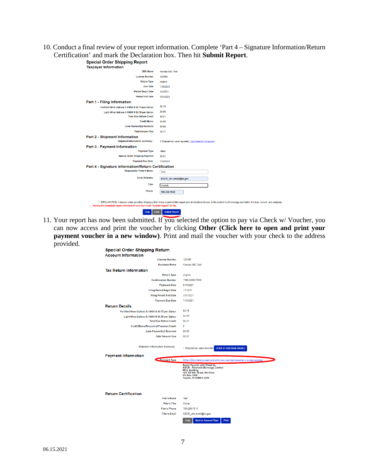10. Conduct a final review of your report information. Complete 'Part 4 – Signature Information/Return Certification' and mark the Declaration box. Then hit **Submit Report**.

| <b>DBA Name</b>                                                       | <b>Kansas ABC Test</b>                                                                                                                                                                   |
|-----------------------------------------------------------------------|------------------------------------------------------------------------------------------------------------------------------------------------------------------------------------------|
| <b>License Number</b>                                                 | 123456                                                                                                                                                                                   |
| <b>Return Type</b>                                                    | original                                                                                                                                                                                 |
| <b>Due Date</b>                                                       | 7/15/2021                                                                                                                                                                                |
| <b>Period Begin Date</b>                                              | 1/1/2021                                                                                                                                                                                 |
| <b>Period End Date</b>                                                | 3/31/2021                                                                                                                                                                                |
| Part 1 - Filing Information                                           |                                                                                                                                                                                          |
| Fortified Wine Gallons 0.19800 X \$0.75 per Gallon                    | S0.15                                                                                                                                                                                    |
| Light Wine Gallons 0.19800 X \$0.30 per Gallon                        | \$0.06                                                                                                                                                                                   |
| <b>Total Due Before Credit</b>                                        | \$0.21                                                                                                                                                                                   |
| <b>Credit Memo</b>                                                    | \$0.00                                                                                                                                                                                   |
| <b>Less Payment(s) Received</b>                                       | \$0.00                                                                                                                                                                                   |
| <b>Total Amount Due</b>                                               | \$0.21                                                                                                                                                                                   |
| Part 2 - Shipment Information<br><b>Shipment Information Summary:</b> | 1 Shipment(s) were reported, (click here for full review)                                                                                                                                |
| Part 3 - Payment Information                                          |                                                                                                                                                                                          |
| <b>Payment Type</b>                                                   | Other                                                                                                                                                                                    |
| <b>Special Order Shipping Payment</b>                                 | \$0.21                                                                                                                                                                                   |
| <b>Payment Due Date:</b>                                              | 7/15/2021                                                                                                                                                                                |
| Part 4 - Signature Information/Return Certification                   |                                                                                                                                                                                          |
| <b>Responsible Party's Name:</b>                                      | Test                                                                                                                                                                                     |
| <b>Email Address:</b>                                                 | KDOR abc.email@ks.gov                                                                                                                                                                    |
| Title:                                                                | Owner                                                                                                                                                                                    |
| Phone:                                                                | 785-296-7015                                                                                                                                                                             |
|                                                                       | □ DECLARATION: I declare under penalties of perjury that I have examined this report and all attachments and, to the best of my knowledge and belief, it is true, correct, and complete. |

11. Your report has now been submitted. If you selected the option to pay via Check w/ Voucher, you can now access and print the voucher by clicking **Other (Click here to open and print your payment voucher in a new window**). Print and mail the voucher with your check to the address provided. **Special Order Shinning Refu** 

| <b>Account Information</b>                         |                                                                                                                                                        |
|----------------------------------------------------|--------------------------------------------------------------------------------------------------------------------------------------------------------|
| <b>License Number</b>                              | 123456                                                                                                                                                 |
| <b>Business Name</b>                               | Kansas ABC Test                                                                                                                                        |
| <b>Tax Return Information</b>                      |                                                                                                                                                        |
| <b>Return Type</b>                                 | original                                                                                                                                               |
| <b>Confirmation Number</b>                         | 1166-3C4A-764D                                                                                                                                         |
| <b>Postmark Date</b>                               | 6/15/2021                                                                                                                                              |
| <b>Filing Period Begin Date</b>                    | 1/1/2021                                                                                                                                               |
| <b>Filing Period End Date</b>                      | 3/31/2021                                                                                                                                              |
| <b>Payment Due Date</b>                            | 7/15/2021                                                                                                                                              |
| <b>Return Details</b>                              |                                                                                                                                                        |
| Fortified Wine Gallons 0.19800 X \$0.75 per Gallon | \$0.15                                                                                                                                                 |
| Light Wine Gallons 0.19800 X \$0.30 per Gallon     | \$0.06                                                                                                                                                 |
| <b>Total Due Before Credit</b>                     | \$0.21                                                                                                                                                 |
| <b>Credit Memo/Amount of Previous Credit</b>       | ٥                                                                                                                                                      |
| <b>Less Payment(s) Received</b>                    | \$0.00                                                                                                                                                 |
| <b>Total Amount Due</b>                            | \$0.21                                                                                                                                                 |
| <b>Shipment Information Summary:</b>               | (Click to hide/show details)<br>1 Shipment(s) were reported                                                                                            |
|                                                    |                                                                                                                                                        |
| <b>Payment Information</b>                         |                                                                                                                                                        |
| <b>Payment Type</b>                                | Other (Click here to open and print your payment voucher in a new window)                                                                              |
|                                                    | <b>Remit Voucher and Check to:</b><br><b>KDOR - Alcoholic Beverage Control</b><br><b>Mills Building</b><br>109 SW 9th Street, 5th Floor<br>PO Box 3506 |
|                                                    | Topeka, KS 66601-3506                                                                                                                                  |
| <b>Return Certification</b>                        |                                                                                                                                                        |
| <b>Filer's Name</b>                                | Test                                                                                                                                                   |
| Filer's Title                                      | Owner                                                                                                                                                  |
| <b>Filer's Phone</b>                               | 785-296-7015                                                                                                                                           |
| <b>Filer's Email</b>                               | KDOR_abc.email@ks.gov                                                                                                                                  |